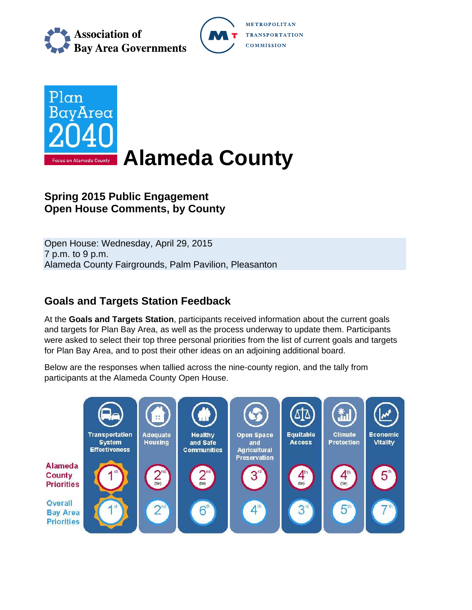

**METROPOLITAN TRANSPORTATION COMMISSION** 



# **Spring 2015 Public Engagement Open House Comments, by County**

Open House: Wednesday, April 29, 2015 7 p.m. to 9 p.m. Alameda County Fairgrounds, Palm Pavilion, Pleasanton

# **Goals and Targets Station Feedback**

At the **Goals and Targets Station**, participants received information about the current goals and targets for Plan Bay Area, as well as the process underway to update them. Participants were asked to select their top three personal priorities from the list of current goals and targets for Plan Bay Area, and to post their other ideas on an adjoining additional board.

Below are the responses when tallied across the nine-county region, and the tally from participants at the Alameda County Open House.

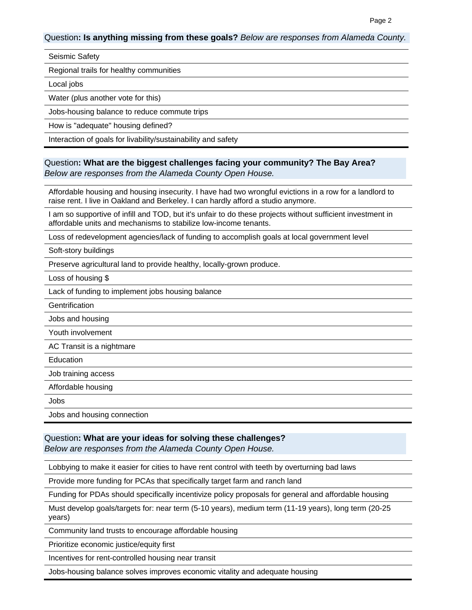#### Question**: Is anything missing from these goals?** *Below are responses from Alameda County.*

#### Seismic Safety

Regional trails for healthy communities

Local jobs

Water (plus another vote for this)

Jobs-housing balance to reduce commute trips

How is "adequate" housing defined?

Interaction of goals for livability/sustainability and safety

### Question**: What are the biggest challenges facing your community? The Bay Area?**  *Below are responses from the Alameda County Open House.*

Affordable housing and housing insecurity. I have had two wrongful evictions in a row for a landlord to raise rent. I live in Oakland and Berkeley. I can hardly afford a studio anymore.

I am so supportive of infill and TOD, but it's unfair to do these projects without sufficient investment in affordable units and mechanisms to stabilize low-income tenants.

Loss of redevelopment agencies/lack of funding to accomplish goals at local government level

Soft-story buildings

Preserve agricultural land to provide healthy, locally-grown produce.

Loss of housing \$

Lack of funding to implement jobs housing balance

**Gentrification** 

Jobs and housing

Youth involvement

AC Transit is a nightmare

Education

Job training access

Affordable housing

Jobs

Jobs and housing connection

#### Question**: What are your ideas for solving these challenges?**

*Below are responses from the Alameda County Open House.*

Lobbying to make it easier for cities to have rent control with teeth by overturning bad laws

Provide more funding for PCAs that specifically target farm and ranch land

Funding for PDAs should specifically incentivize policy proposals for general and affordable housing

Must develop goals/targets for: near term (5-10 years), medium term (11-19 years), long term (20-25 years)

Community land trusts to encourage affordable housing

Prioritize economic justice/equity first

Incentives for rent-controlled housing near transit

Jobs-housing balance solves improves economic vitality and adequate housing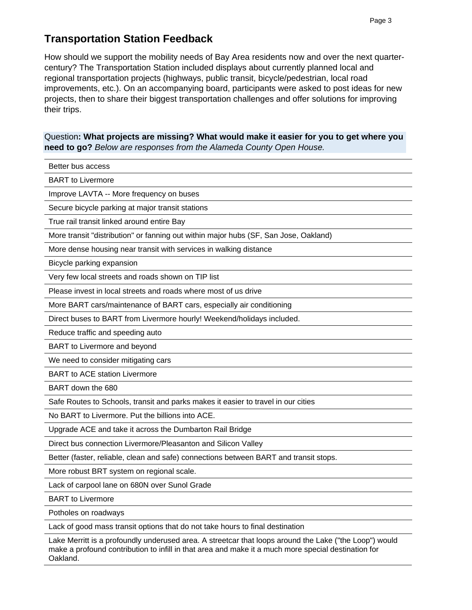## **Transportation Station Feedback**

How should we support the mobility needs of Bay Area residents now and over the next quartercentury? The Transportation Station included displays about currently planned local and regional transportation projects (highways, public transit, bicycle/pedestrian, local road improvements, etc.). On an accompanying board, participants were asked to post ideas for new projects, then to share their biggest transportation challenges and offer solutions for improving their trips.

### Question**: What projects are missing? What would make it easier for you to get where you need to go?** *Below are responses from the Alameda County Open House.*

Better bus access

BART to Livermore

Improve LAVTA -- More frequency on buses

Secure bicycle parking at major transit stations

True rail transit linked around entire Bay

More transit "distribution" or fanning out within major hubs (SF, San Jose, Oakland)

More dense housing near transit with services in walking distance

Bicycle parking expansion

Very few local streets and roads shown on TIP list

Please invest in local streets and roads where most of us drive

More BART cars/maintenance of BART cars, especially air conditioning

Direct buses to BART from Livermore hourly! Weekend/holidays included.

Reduce traffic and speeding auto

BART to Livermore and beyond

We need to consider mitigating cars

BART to ACE station Livermore

BART down the 680

Safe Routes to Schools, transit and parks makes it easier to travel in our cities

No BART to Livermore. Put the billions into ACE.

Upgrade ACE and take it across the Dumbarton Rail Bridge

Direct bus connection Livermore/Pleasanton and Silicon Valley

Better (faster, reliable, clean and safe) connections between BART and transit stops.

More robust BRT system on regional scale.

Lack of carpool lane on 680N over Sunol Grade

BART to Livermore

Potholes on roadways

Lack of good mass transit options that do not take hours to final destination

Lake Merritt is a profoundly underused area. A streetcar that loops around the Lake ("the Loop") would make a profound contribution to infill in that area and make it a much more special destination for Oakland.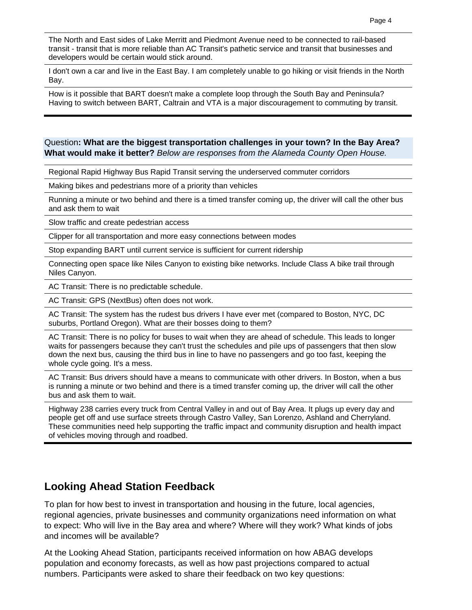The North and East sides of Lake Merritt and Piedmont Avenue need to be connected to rail-based transit - transit that is more reliable than AC Transit's pathetic service and transit that businesses and developers would be certain would stick around.

I don't own a car and live in the East Bay. I am completely unable to go hiking or visit friends in the North Bay.

How is it possible that BART doesn't make a complete loop through the South Bay and Peninsula? Having to switch between BART, Caltrain and VTA is a major discouragement to commuting by transit.

### Question**: What are the biggest transportation challenges in your town? In the Bay Area? What would make it better?** *Below are responses from the Alameda County Open House.*

Regional Rapid Highway Bus Rapid Transit serving the underserved commuter corridors

Making bikes and pedestrians more of a priority than vehicles

Running a minute or two behind and there is a timed transfer coming up, the driver will call the other bus and ask them to wait

Slow traffic and create pedestrian access

Clipper for all transportation and more easy connections between modes

Stop expanding BART until current service is sufficient for current ridership

Connecting open space like Niles Canyon to existing bike networks. Include Class A bike trail through Niles Canyon.

AC Transit: There is no predictable schedule.

AC Transit: GPS (NextBus) often does not work.

AC Transit: The system has the rudest bus drivers I have ever met (compared to Boston, NYC, DC suburbs, Portland Oregon). What are their bosses doing to them?

AC Transit: There is no policy for buses to wait when they are ahead of schedule. This leads to longer waits for passengers because they can't trust the schedules and pile ups of passengers that then slow down the next bus, causing the third bus in line to have no passengers and go too fast, keeping the whole cycle going. It's a mess.

AC Transit: Bus drivers should have a means to communicate with other drivers. In Boston, when a bus is running a minute or two behind and there is a timed transfer coming up, the driver will call the other bus and ask them to wait.

Highway 238 carries every truck from Central Valley in and out of Bay Area. It plugs up every day and people get off and use surface streets through Castro Valley, San Lorenzo, Ashland and Cherryland. These communities need help supporting the traffic impact and community disruption and health impact of vehicles moving through and roadbed.

# **Looking Ahead Station Feedback**

To plan for how best to invest in transportation and housing in the future, local agencies, regional agencies, private businesses and community organizations need information on what to expect: Who will live in the Bay area and where? Where will they work? What kinds of jobs and incomes will be available?

At the Looking Ahead Station, participants received information on how ABAG develops population and economy forecasts, as well as how past projections compared to actual numbers. Participants were asked to share their feedback on two key questions: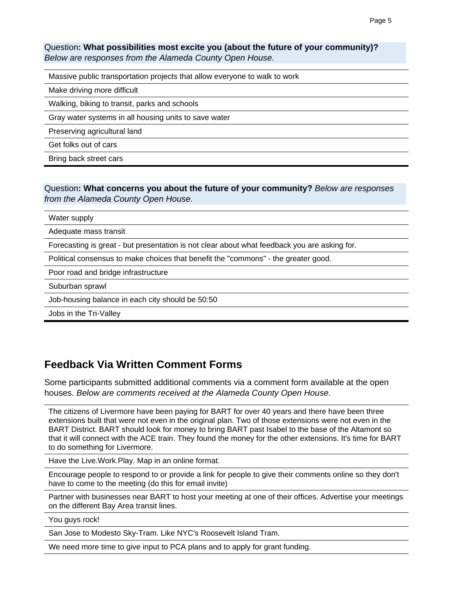### Question**: What possibilities most excite you (about the future of your community)?**  *Below are responses from the Alameda County Open House.*

Massive public transportation projects that allow everyone to walk to work

Make driving more difficult

Walking, biking to transit, parks and schools

Gray water systems in all housing units to save water

Preserving agricultural land

Get folks out of cars

Bring back street cars

Question**: What concerns you about the future of your community?** *Below are responses from the Alameda County Open House.*

Water supply

Adequate mass transit

Forecasting is great - but presentation is not clear about what feedback you are asking for.

Political consensus to make choices that benefit the "commons" - the greater good.

Poor road and bridge infrastructure

Suburban sprawl

Job-housing balance in each city should be 50:50

Jobs in the Tri-Valley

## **Feedback Via Written Comment Forms**

Some participants submitted additional comments via a comment form available at the open houses. *Below are comments received at the Alameda County Open House.*

The citizens of Livermore have been paying for BART for over 40 years and there have been three extensions built that were not even in the original plan. Two of those extensions were not even in the BART District. BART should look for money to bring BART past Isabel to the base of the Altamont so that it will connect with the ACE train. They found the money for the other extensions. It's time for BART to do something for Livermore.

Have the Live.Work.Play. Map in an online format.

Encourage people to respond to or provide a link for people to give their comments online so they don't have to come to the meeting (do this for email invite)

Partner with businesses near BART to host your meeting at one of their offices. Advertise your meetings on the different Bay Area transit lines.

You guys rock!

San Jose to Modesto Sky-Tram. Like NYC's Roosevelt Island Tram.

We need more time to give input to PCA plans and to apply for grant funding.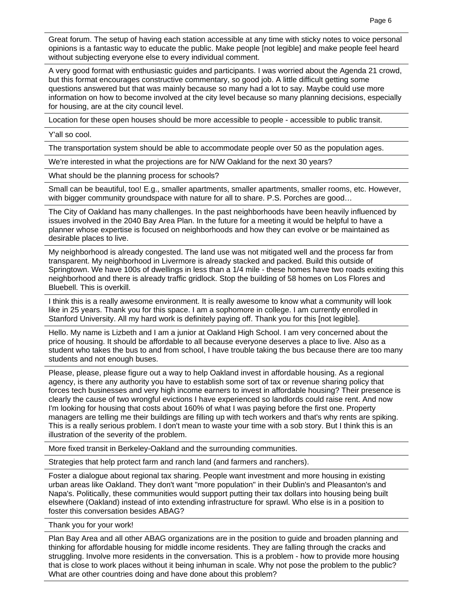Great forum. The setup of having each station accessible at any time with sticky notes to voice personal opinions is a fantastic way to educate the public. Make people [not legible] and make people feel heard without subjecting everyone else to every individual comment.

A very good format with enthusiastic guides and participants. I was worried about the Agenda 21 crowd, but this format encourages constructive commentary, so good job. A little difficult getting some questions answered but that was mainly because so many had a lot to say. Maybe could use more information on how to become involved at the city level because so many planning decisions, especially for housing, are at the city council level.

Location for these open houses should be more accessible to people - accessible to public transit.

Y'all so cool.

The transportation system should be able to accommodate people over 50 as the population ages.

We're interested in what the projections are for N/W Oakland for the next 30 years?

What should be the planning process for schools?

Small can be beautiful, too! E.g., smaller apartments, smaller apartments, smaller rooms, etc. However, with bigger community groundspace with nature for all to share. P.S. Porches are good…

The City of Oakland has many challenges. In the past neighborhoods have been heavily influenced by issues involved in the 2040 Bay Area Plan. In the future for a meeting it would be helpful to have a planner whose expertise is focused on neighborhoods and how they can evolve or be maintained as desirable places to live.

My neighborhood is already congested. The land use was not mitigated well and the process far from transparent. My neighborhood in Livermore is already stacked and packed. Build this outside of Springtown. We have 100s of dwellings in less than a 1/4 mile - these homes have two roads exiting this neighborhood and there is already traffic gridlock. Stop the building of 58 homes on Los Flores and Bluebell. This is overkill.

I think this is a really awesome environment. It is really awesome to know what a community will look like in 25 years. Thank you for this space. I am a sophomore in college. I am currently enrolled in Stanford University. All my hard work is definitely paying off. Thank you for this [not legible].

Hello. My name is Lizbeth and I am a junior at Oakland High School. I am very concerned about the price of housing. It should be affordable to all because everyone deserves a place to live. Also as a student who takes the bus to and from school, I have trouble taking the bus because there are too many students and not enough buses.

Please, please, please figure out a way to help Oakland invest in affordable housing. As a regional agency, is there any authority you have to establish some sort of tax or revenue sharing policy that forces tech businesses and very high income earners to invest in affordable housing? Their presence is clearly the cause of two wrongful evictions I have experienced so landlords could raise rent. And now I'm looking for housing that costs about 160% of what I was paying before the first one. Property managers are telling me their buildings are filling up with tech workers and that's why rents are spiking. This is a really serious problem. I don't mean to waste your time with a sob story. But I think this is an illustration of the severity of the problem.

More fixed transit in Berkeley-Oakland and the surrounding communities.

Strategies that help protect farm and ranch land (and farmers and ranchers).

Foster a dialogue about regional tax sharing. People want investment and more housing in existing urban areas like Oakland. They don't want "more population" in their Dublin's and Pleasanton's and Napa's. Politically, these communities would support putting their tax dollars into housing being built elsewhere (Oakland) instead of into extending infrastructure for sprawl. Who else is in a position to foster this conversation besides ABAG?

Thank you for your work!

Plan Bay Area and all other ABAG organizations are in the position to guide and broaden planning and thinking for affordable housing for middle income residents. They are falling through the cracks and struggling. Involve more residents in the conversation. This is a problem - how to provide more housing that is close to work places without it being inhuman in scale. Why not pose the problem to the public? What are other countries doing and have done about this problem?